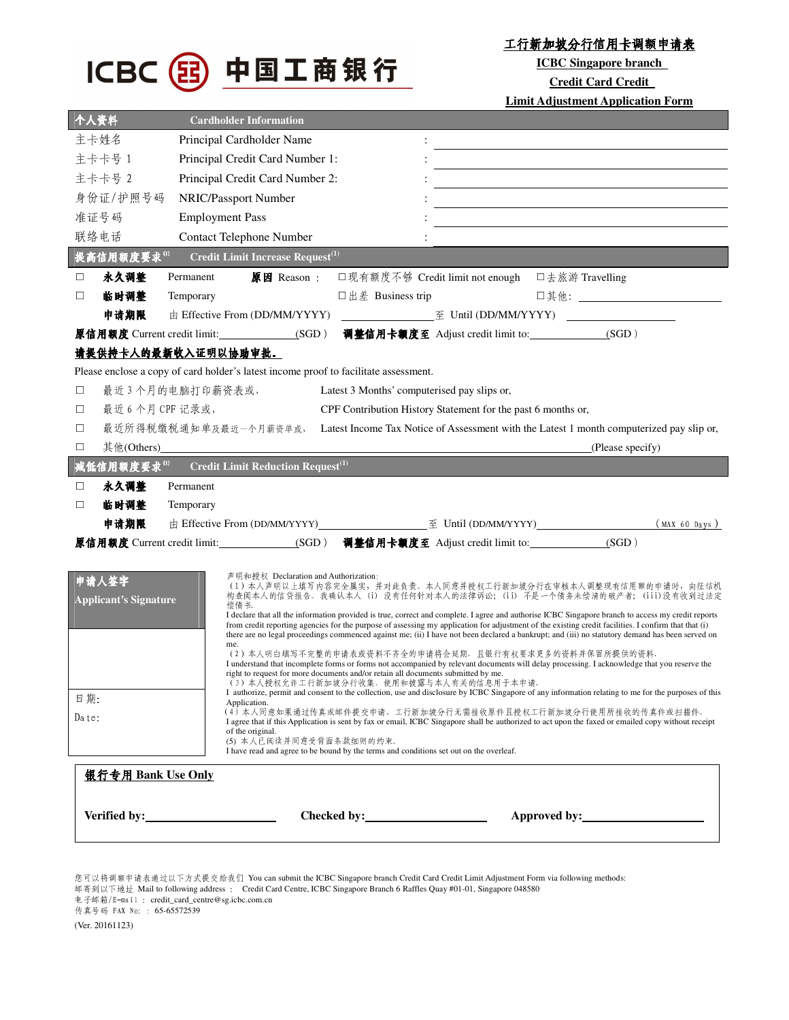

工行新加坡分行信用卡调额申请表

**ICBC Singapore branch** 

**Credit Card Credit** 

**Limit Adjustment Application Form**

| 个人资料                                                                                                                                                    | <b>Cardholder Information</b>                                                                                                                                                                                                                                                                                                                                                                                                                                                                                                                                                                                                                                                                                                                                                                                                                                                                                                                                                                                                                                                                                                                                                                                                                                                                                                                                                                                        |
|---------------------------------------------------------------------------------------------------------------------------------------------------------|----------------------------------------------------------------------------------------------------------------------------------------------------------------------------------------------------------------------------------------------------------------------------------------------------------------------------------------------------------------------------------------------------------------------------------------------------------------------------------------------------------------------------------------------------------------------------------------------------------------------------------------------------------------------------------------------------------------------------------------------------------------------------------------------------------------------------------------------------------------------------------------------------------------------------------------------------------------------------------------------------------------------------------------------------------------------------------------------------------------------------------------------------------------------------------------------------------------------------------------------------------------------------------------------------------------------------------------------------------------------------------------------------------------------|
| 主卡姓名                                                                                                                                                    | Principal Cardholder Name                                                                                                                                                                                                                                                                                                                                                                                                                                                                                                                                                                                                                                                                                                                                                                                                                                                                                                                                                                                                                                                                                                                                                                                                                                                                                                                                                                                            |
| 主卡卡号 1                                                                                                                                                  | Principal Credit Card Number 1:                                                                                                                                                                                                                                                                                                                                                                                                                                                                                                                                                                                                                                                                                                                                                                                                                                                                                                                                                                                                                                                                                                                                                                                                                                                                                                                                                                                      |
| 主卡卡号 2                                                                                                                                                  | Principal Credit Card Number 2:                                                                                                                                                                                                                                                                                                                                                                                                                                                                                                                                                                                                                                                                                                                                                                                                                                                                                                                                                                                                                                                                                                                                                                                                                                                                                                                                                                                      |
| 身份证/护照号码                                                                                                                                                | NRIC/Passport Number                                                                                                                                                                                                                                                                                                                                                                                                                                                                                                                                                                                                                                                                                                                                                                                                                                                                                                                                                                                                                                                                                                                                                                                                                                                                                                                                                                                                 |
| 准证号码                                                                                                                                                    | <b>Employment Pass</b>                                                                                                                                                                                                                                                                                                                                                                                                                                                                                                                                                                                                                                                                                                                                                                                                                                                                                                                                                                                                                                                                                                                                                                                                                                                                                                                                                                                               |
| 联络电话                                                                                                                                                    | <b>Contact Telephone Number</b>                                                                                                                                                                                                                                                                                                                                                                                                                                                                                                                                                                                                                                                                                                                                                                                                                                                                                                                                                                                                                                                                                                                                                                                                                                                                                                                                                                                      |
| 提高信用额度要求(1)                                                                                                                                             | Credit Limit Increase Request <sup>(1)</sup>                                                                                                                                                                                                                                                                                                                                                                                                                                                                                                                                                                                                                                                                                                                                                                                                                                                                                                                                                                                                                                                                                                                                                                                                                                                                                                                                                                         |
| 永久调整<br>$\Box$                                                                                                                                          | □现有额度不够 Credit limit not enough □去旅游 Travelling<br>原因 Reason:<br>Permanent                                                                                                                                                                                                                                                                                                                                                                                                                                                                                                                                                                                                                                                                                                                                                                                                                                                                                                                                                                                                                                                                                                                                                                                                                                                                                                                                           |
| 临时调整<br>$\Box$                                                                                                                                          | □其他: __________________________<br>□出差 Business trip<br>Temporary                                                                                                                                                                                                                                                                                                                                                                                                                                                                                                                                                                                                                                                                                                                                                                                                                                                                                                                                                                                                                                                                                                                                                                                                                                                                                                                                                    |
| 申请期限                                                                                                                                                    |                                                                                                                                                                                                                                                                                                                                                                                                                                                                                                                                                                                                                                                                                                                                                                                                                                                                                                                                                                                                                                                                                                                                                                                                                                                                                                                                                                                                                      |
|                                                                                                                                                         | 调整信用卡额度至 Adjust credit limit to: ______________(SGD)<br>原信用额度 Current credit limit: ________________(SGD)                                                                                                                                                                                                                                                                                                                                                                                                                                                                                                                                                                                                                                                                                                                                                                                                                                                                                                                                                                                                                                                                                                                                                                                                                                                                                                            |
|                                                                                                                                                         | 请提供持卡人的最新收入证明以协助审批。                                                                                                                                                                                                                                                                                                                                                                                                                                                                                                                                                                                                                                                                                                                                                                                                                                                                                                                                                                                                                                                                                                                                                                                                                                                                                                                                                                                                  |
|                                                                                                                                                         | Please enclose a copy of card holder's latest income proof to facilitate assessment.                                                                                                                                                                                                                                                                                                                                                                                                                                                                                                                                                                                                                                                                                                                                                                                                                                                                                                                                                                                                                                                                                                                                                                                                                                                                                                                                 |
| $\Box$                                                                                                                                                  | 最近3个月的电脑打印薪资表或,<br>Latest 3 Months' computerised pay slips or,                                                                                                                                                                                                                                                                                                                                                                                                                                                                                                                                                                                                                                                                                                                                                                                                                                                                                                                                                                                                                                                                                                                                                                                                                                                                                                                                                       |
| $\Box$                                                                                                                                                  | 最近 6 个月 CPF 记录或,<br>CPF Contribution History Statement for the past 6 months or,                                                                                                                                                                                                                                                                                                                                                                                                                                                                                                                                                                                                                                                                                                                                                                                                                                                                                                                                                                                                                                                                                                                                                                                                                                                                                                                                     |
| $\Box$                                                                                                                                                  | 最近所得税缴税通知单及最近一个月薪资单或,<br>Latest Income Tax Notice of Assessment with the Latest 1 month computerized pay slip or,                                                                                                                                                                                                                                                                                                                                                                                                                                                                                                                                                                                                                                                                                                                                                                                                                                                                                                                                                                                                                                                                                                                                                                                                                                                                                                    |
| $\Box$                                                                                                                                                  | (Please specify)                                                                                                                                                                                                                                                                                                                                                                                                                                                                                                                                                                                                                                                                                                                                                                                                                                                                                                                                                                                                                                                                                                                                                                                                                                                                                                                                                                                                     |
| <b>Credit Limit Reduction Request</b> <sup>(1)</sup><br>减低信用额度要求(1)                                                                                     |                                                                                                                                                                                                                                                                                                                                                                                                                                                                                                                                                                                                                                                                                                                                                                                                                                                                                                                                                                                                                                                                                                                                                                                                                                                                                                                                                                                                                      |
| 永久调整<br>ப                                                                                                                                               | Permanent                                                                                                                                                                                                                                                                                                                                                                                                                                                                                                                                                                                                                                                                                                                                                                                                                                                                                                                                                                                                                                                                                                                                                                                                                                                                                                                                                                                                            |
| 临时调整<br>$\Box$                                                                                                                                          | Temporary                                                                                                                                                                                                                                                                                                                                                                                                                                                                                                                                                                                                                                                                                                                                                                                                                                                                                                                                                                                                                                                                                                                                                                                                                                                                                                                                                                                                            |
| 申请期限                                                                                                                                                    | $(MAX 60 \text{ days})$                                                                                                                                                                                                                                                                                                                                                                                                                                                                                                                                                                                                                                                                                                                                                                                                                                                                                                                                                                                                                                                                                                                                                                                                                                                                                                                                                                                              |
|                                                                                                                                                         | 原信用额度 Current credit limit:_______________(SGD) 调整信用卡额度至 Adjust credit limit to:___________________<br>(SGD)                                                                                                                                                                                                                                                                                                                                                                                                                                                                                                                                                                                                                                                                                                                                                                                                                                                                                                                                                                                                                                                                                                                                                                                                                                                                                                         |
| 申请人签字<br><b>Applicant's Signature</b><br>日期:<br>Date:                                                                                                   | 声明和授权 Declaration and Authorization:<br>(1) 本人声明以上填写内容完全属实, 并对此负责。本人同意并授权工行新加坡分行在审核本人调整现有信用额的申请时, 向征信机<br>构查阅本人的信贷报告。我确认本人 (i) 没有任何针对本人的法律诉讼; (ii) 不是一个债务未偿清的破产者; (iii)没有收到过法定<br>偿债书。<br>I declare that all the information provided is true, correct and complete. I agree and authorise ICBC Singapore branch to access my credit reports<br>from credit reporting agencies for the purpose of assessing my application for adjustment of the existing credit facilities. I confirm that that (i)<br>there are no legal proceedings commenced against me; (ii) I have not been declared a bankrupt; and (iii) no statutory demand has been served on<br>me.<br>(2)本人明白填写不完整的申请表或资料不齐全的申请将会延期。且银行有权要求更多的资料并保留所提供的资料,<br>I understand that incomplete forms or forms not accompanied by relevant documents will delay processing. I acknowledge that you reserve the<br>right to request for more documents and/or retain all documents submitted by me.<br>(3)本人授权允许工行新加坡分行收集, 使用和披露与本人有关的信息用于本申请。<br>I authorize, permit and consent to the collection, use and disclosure by ICBC Singapore of any information relating to me for the purposes of this<br>Application.<br>(4) 本人同意如果通过传真或邮件提交申请, 工行新加坡分行无需接收原件且授权工行新加坡分行使用所接收的传真件或扫描件。<br>I agree that if this Application is sent by fax or email, ICBC Singapore shall be authorized to act upon the faxed or emailed copy without receipt<br>of the original. |
| (5) 本人已阅读并同意受背面条款细则的约束。<br>I have read and agree to be bound by the terms and conditions set out on the overleaf.<br>银行专用 Bank Use Only<br>Approved by: |                                                                                                                                                                                                                                                                                                                                                                                                                                                                                                                                                                                                                                                                                                                                                                                                                                                                                                                                                                                                                                                                                                                                                                                                                                                                                                                                                                                                                      |
|                                                                                                                                                         |                                                                                                                                                                                                                                                                                                                                                                                                                                                                                                                                                                                                                                                                                                                                                                                                                                                                                                                                                                                                                                                                                                                                                                                                                                                                                                                                                                                                                      |

您可以将调额申请表通过以下方式提交给我们 You can submit the ICBC Singapore branch Credit Card Credit Limit Adjustment Form via following methods: 邮寄到以下地址 Mail to following address : Credit Card Centre, ICBC Singapore Branch 6 Raffles Quay #01-01, Singapore 048580

电子邮箱/E-mail : credit\_card\_centre@sg.icbc.com.cn